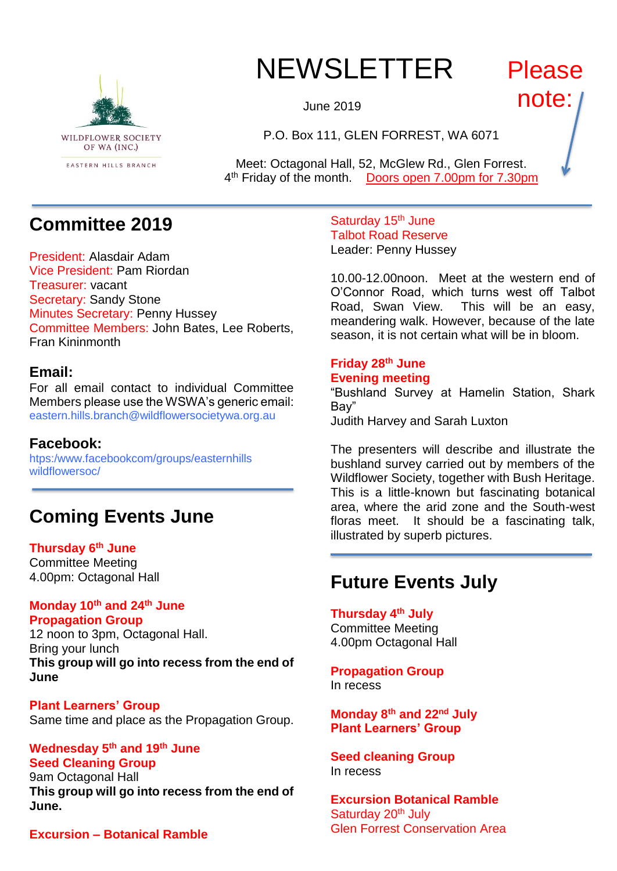

# NEWSLETTER

June 2019

P.O. Box 111, GLEN FORREST, WA 6071

Meet: Octagonal Hall, 52, McGlew Rd., Glen Forrest. 4<sup>th</sup> Friday of the month. Doors open 7.00pm for 7.30pm

# **Committee 2019**

President: Alasdair Adam Vice President: Pam Riordan Treasurer: vacant Secretary: Sandy Stone Minutes Secretary: Penny Hussey Committee Members: John Bates, Lee Roberts, Fran Kininmonth

### **Email:**

For all email contact to individual Committee Members please use the WSWA's generic email: eastern.hills.branch@wildflowersocietywa.org.au

### **Facebook:**

htps:/www.facebookcom/groups/easternhills wildflowersoc/

# **Coming Events June**

#### **Thursday 6 th June**

Committee Meeting 4.00pm: Octagonal Hall

#### **Monday 10th and 24th June Propagation Group**

12 noon to 3pm, Octagonal Hall. Bring your lunch **This group will go into recess from the end of June**

**Plant Learners' Group** Same time and place as the Propagation Group.

### **Wednesday 5 th and 19th June Seed Cleaning Group**

9am Octagonal Hall **This group will go into recess from the end of June.**

**Excursion – Botanical Ramble**

Saturday 15<sup>th</sup> June Talbot Road Reserve Leader: Penny Hussey

10.00-12.00noon. Meet at the western end of O'Connor Road, which turns west off Talbot Road, Swan View. This will be an easy, meandering walk. However, because of the late season, it is not certain what will be in bloom.

Please

note:

#### **Friday 28th June Evening meeting**

"Bushland Survey at Hamelin Station, Shark Bay"

Judith Harvey and Sarah Luxton

The presenters will describe and illustrate the bushland survey carried out by members of the Wildflower Society, together with Bush Heritage. This is a little-known but fascinating botanical area, where the arid zone and the South-west floras meet. It should be a fascinating talk, illustrated by superb pictures.

# **Future Events July**

**Thursday 4th July** Committee Meeting 4.00pm Octagonal Hall

**Propagation Group** In recess

**Monday 8th and 22nd July Plant Learners' Group**

**Seed cleaning Group** In recess

**Excursion Botanical Ramble** Saturday 20<sup>th</sup> July Glen Forrest Conservation Area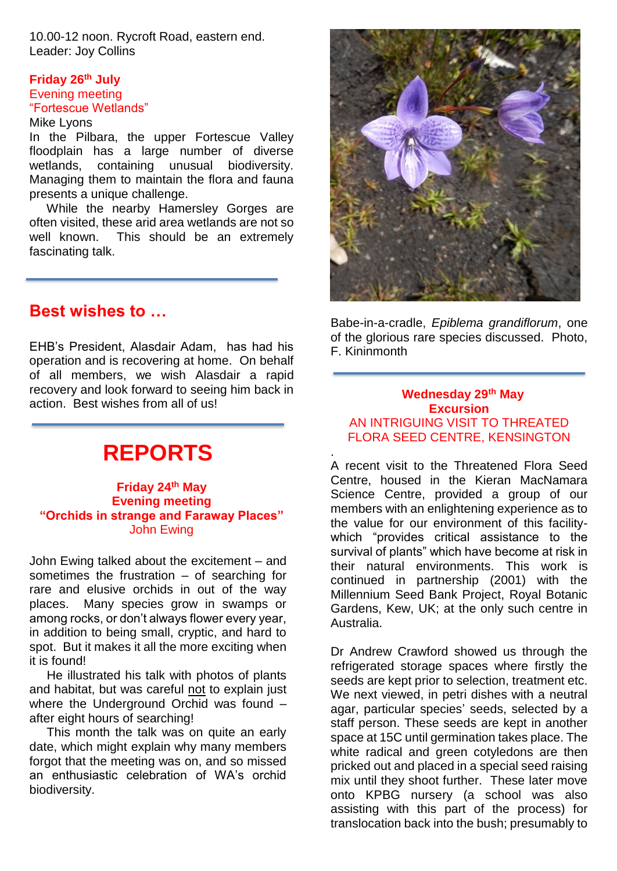10.00-12 noon. Rycroft Road, eastern end. Leader: Joy Collins

#### **Friday 26th July** Evening meeting "Fortescue Wetlands" Mike Lyons

In the Pilbara, the upper Fortescue Valley floodplain has a large number of diverse wetlands, containing unusual biodiversity. Managing them to maintain the flora and fauna presents a unique challenge.

 While the nearby Hamersley Gorges are often visited, these arid area wetlands are not so well known. This should be an extremely fascinating talk.

### **Best wishes to …**

EHB's President, Alasdair Adam, has had his operation and is recovering at home. On behalf of all members, we wish Alasdair a rapid recovery and look forward to seeing him back in action. Best wishes from all of us!

# **REPORTS**

#### **Friday 24 th May Evening meeting "Orchids in strange and Faraway Places"** John Ewing

John Ewing talked about the excitement – and sometimes the frustration – of searching for rare and elusive orchids in out of the way places. Many species grow in swamps or among rocks, or don't always flower every year, in addition to being small, cryptic, and hard to spot. But it makes it all the more exciting when it is found!

 He illustrated his talk with photos of plants and habitat, but was careful not to explain just where the Underground Orchid was found – after eight hours of searching!

 This month the talk was on quite an early date, which might explain why many members forgot that the meeting was on, and so missed an enthusiastic celebration of WA's orchid biodiversity.



Babe-in-a-cradle, *Epiblema grandiflorum*, one of the glorious rare species discussed. Photo, F. Kininmonth

#### **Wednesday 29th May Excursion** AN INTRIGUING VISIT TO THREATED FLORA SEED CENTRE, KENSINGTON

.

A recent visit to the Threatened Flora Seed Centre, housed in the Kieran MacNamara Science Centre, provided a group of our members with an enlightening experience as to the value for our environment of this facilitywhich "provides critical assistance to the survival of plants" which have become at risk in their natural environments. This work is continued in partnership (2001) with the Millennium Seed Bank Project, Royal Botanic Gardens, Kew, UK; at the only such centre in Australia.

Dr Andrew Crawford showed us through the refrigerated storage spaces where firstly the seeds are kept prior to selection, treatment etc. We next viewed, in petri dishes with a neutral agar, particular species' seeds, selected by a staff person. These seeds are kept in another space at 15C until germination takes place. The white radical and green cotyledons are then pricked out and placed in a special seed raising mix until they shoot further. These later move onto KPBG nursery (a school was also assisting with this part of the process) for translocation back into the bush; presumably to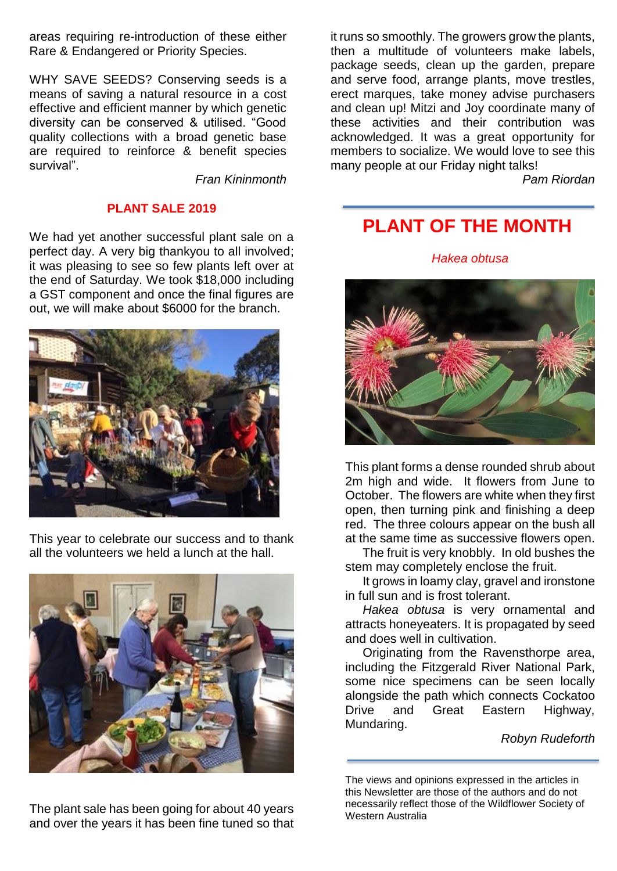areas requiring re-introduction of these either Rare & Endangered or Priority Species.

WHY SAVE SEEDS? Conserving seeds is a means of saving a natural resource in a cost effective and efficient manner by which genetic diversity can be conserved & utilised. "Good quality collections with a broad genetic base are required to reinforce & benefit species survival".

*Fran Kininmonth*

#### **PLANT SALE 2019**

We had yet another successful plant sale on a perfect day. A very big thankyou to all involved; it was pleasing to see so few plants left over at the end of Saturday. We took \$18,000 including a GST component and once the final figures are out, we will make about \$6000 for the branch.



This year to celebrate our success and to thank all the volunteers we held a lunch at the hall.



The plant sale has been going for about 40 years and over the years it has been fine tuned so that

it runs so smoothly. The growers grow the plants, then a multitude of volunteers make labels, package seeds, clean up the garden, prepare and serve food, arrange plants, move trestles, erect marques, take money advise purchasers and clean up! Mitzi and Joy coordinate many of these activities and their contribution was acknowledged. It was a great opportunity for members to socialize. We would love to see this many people at our Friday night talks!

*Pam Riordan*

# **PLANT OF THE MONTH**

*Hakea obtusa*



This plant forms a dense rounded shrub about 2m high and wide. It flowers from June to October. The flowers are white when they first open, then turning pink and finishing a deep red. The three colours appear on the bush all at the same time as successive flowers open.

 The fruit is very knobbly. In old bushes the stem may completely enclose the fruit.

 It grows in loamy clay, gravel and ironstone in full sun and is frost tolerant.

 *Hakea obtusa* is very ornamental and attracts honeyeaters. It is propagated by seed and does well in cultivation.

 Originating from the Ravensthorpe area, including the Fitzgerald River National Park, some nice specimens can be seen locally alongside the path which connects Cockatoo Drive and Great Eastern Highway, Mundaring.

#### *Robyn Rudeforth*

The views and opinions expressed in the articles in this Newsletter are those of the authors and do not necessarily reflect those of the Wildflower Society of Western Australia

l.